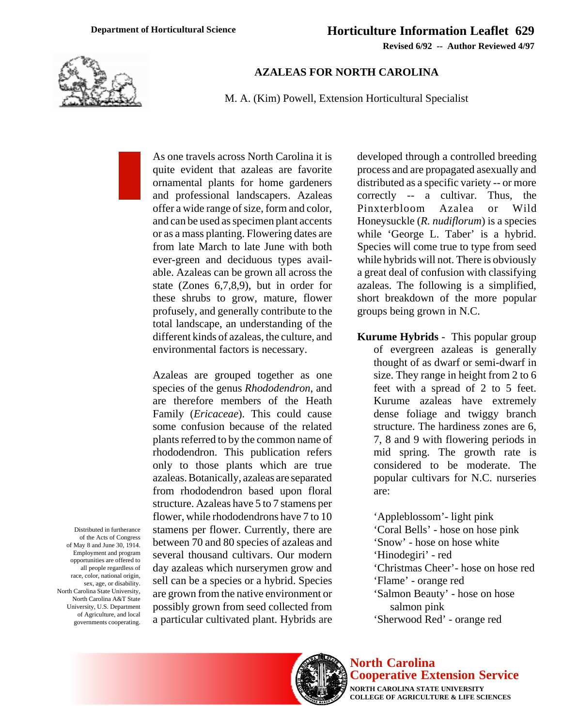**Revised 6/92 -- Author Reviewed 4/97**



## **AZALEAS FOR NORTH CAROLINA**

M. A. (Kim) Powell, Extension Horticultural Specialist

As one travels across North Carolina it is quite evident that azaleas are favorite ornamental plants for home gardeners and professional landscapers. Azaleas offer a wide range of size, form and color, and can be used as specimen plant accents or as a mass planting. Flowering dates are from late March to late June with both ever-green and deciduous types available. Azaleas can be grown all across the state (Zones 6,7,8,9), but in order for these shrubs to grow, mature, flower profusely, and generally contribute to the total landscape, an understanding of the different kinds of azaleas, the culture, and environmental factors is necessary.

Azaleas are grouped together as one species of the genus *Rhododendron*, and are therefore members of the Heath Family (*Ericaceae*). This could cause some confusion because of the related plants referred to by the common name of rhododendron. This publication refers only to those plants which are true azaleas. Botanically, azaleas are separated from rhododendron based upon floral structure. Azaleas have 5 to 7 stamens per flower, while rhododendrons have 7 to 10 stamens per flower. Currently, there are between 70 and 80 species of azaleas and several thousand cultivars. Our modern day azaleas which nurserymen grow and sell can be a species or a hybrid. Species are grown from the native environment or possibly grown from seed collected from a particular cultivated plant. Hybrids are

developed through a controlled breeding process and are propagated asexually and distributed as a specific variety -- or more correctly -- a cultivar. Thus, the Pinxterbloom Azalea or Wild Honeysuckle (*R. nudiflorum*) is a species while 'George L. Taber' is a hybrid. Species will come true to type from seed while hybrids will not. There is obviously a great deal of confusion with classifying azaleas. The following is a simplified, short breakdown of the more popular groups being grown in N.C.

**Kurume Hybrids** - This popular group of evergreen azaleas is generally thought of as dwarf or semi-dwarf in size. They range in height from 2 to 6 feet with a spread of 2 to 5 feet. Kurume azaleas have extremely dense foliage and twiggy branch structure. The hardiness zones are 6, 7, 8 and 9 with flowering periods in mid spring. The growth rate is considered to be moderate. The popular cultivars for N.C. nurseries are:

'Appleblossom'- light pink 'Coral Bells' - hose on hose pink 'Snow' - hose on hose white 'Hinodegiri' - red 'Christmas Cheer'- hose on hose red 'Flame' - orange red 'Salmon Beauty' - hose on hose salmon pink 'Sherwood Red' - orange red

Distributed in furtherance of the Acts of Congress of May 8 and June 30, 1914. Employment and program opportunities are offered to all people regardless of race, color, national origin, sex, age, or disability. North Carolina State University, North Carolina A&T State University, U.S. Department of Agriculture, and local governments cooperating.



## **North Carolina Cooperative Extension Service**

**NORTH CAROLINA STATE UNIVERSITY COLLEGE OF AGRICULTURE & LIFE SCIENCES**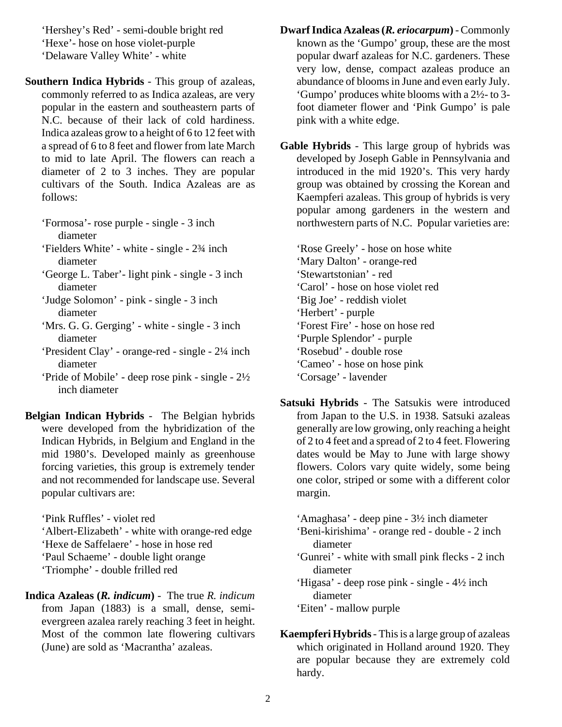'Hershey's Red' - semi-double bright red 'Hexe'- hose on hose violet-purple 'Delaware Valley White' - white

**Southern Indica Hybrids** - This group of azaleas, commonly referred to as Indica azaleas, are very popular in the eastern and southeastern parts of N.C. because of their lack of cold hardiness. Indica azaleas grow to a height of 6 to 12 feet with a spread of 6 to 8 feet and flower from late March to mid to late April. The flowers can reach a diameter of 2 to 3 inches. They are popular cultivars of the South. Indica Azaleas are as follows:

'Formosa'- rose purple - single - 3 inch diameter

'Fielders White' - white - single - 2¾ inch diameter

- 'George L. Taber'- light pink single 3 inch diameter
- 'Judge Solomon' pink single 3 inch diameter
- 'Mrs. G. G. Gerging' white single 3 inch diameter
- 'President Clay' orange-red single 2¼ inch diameter
- 'Pride of Mobile' deep rose pink single 2½ inch diameter

**Belgian Indican Hybrids** - The Belgian hybrids were developed from the hybridization of the Indican Hybrids, in Belgium and England in the mid 1980's. Developed mainly as greenhouse forcing varieties, this group is extremely tender and not recommended for landscape use. Several popular cultivars are:

'Pink Ruffles' - violet red 'Albert-Elizabeth' - white with orange-red edge 'Hexe de Saffelaere' - hose in hose red 'Paul Schaeme' - double light orange 'Triomphe' - double frilled red

**Indica Azaleas (***R. indicum***)** - The true *R. indicum* from Japan (1883) is a small, dense, semievergreen azalea rarely reaching 3 feet in height. Most of the common late flowering cultivars (June) are sold as 'Macrantha' azaleas.

- **Dwarf Indica Azaleas (***R. eriocarpum***)**  Commonly known as the 'Gumpo' group, these are the most popular dwarf azaleas for N.C. gardeners. These very low, dense, compact azaleas produce an abundance of blooms in June and even early July. 'Gumpo' produces white blooms with a 2½- to 3 foot diameter flower and 'Pink Gumpo' is pale pink with a white edge.
- **Gable Hybrids**  This large group of hybrids was developed by Joseph Gable in Pennsylvania and introduced in the mid 1920's. This very hardy group was obtained by crossing the Korean and Kaempferi azaleas. This group of hybrids is very popular among gardeners in the western and northwestern parts of N.C. Popular varieties are:

'Rose Greely' - hose on hose white 'Mary Dalton' - orange-red 'Stewartstonian' - red 'Carol' - hose on hose violet red 'Big Joe' - reddish violet 'Herbert' - purple 'Forest Fire' - hose on hose red 'Purple Splendor' - purple 'Rosebud' - double rose 'Cameo' - hose on hose pink 'Corsage' - lavender

- **Satsuki Hybrids**  The Satsukis were introduced from Japan to the U.S. in 1938. Satsuki azaleas generally are low growing, only reaching a height of 2 to 4 feet and a spread of 2 to 4 feet. Flowering dates would be May to June with large showy flowers. Colors vary quite widely, some being one color, striped or some with a different color margin.
	- 'Amaghasa' deep pine 3½ inch diameter
	- 'Beni-kirishima' orange red double 2 inch diameter
	- 'Gunrei' white with small pink flecks 2 inch diameter
	- 'Higasa' deep rose pink single 4½ inch diameter
	- 'Eiten' mallow purple
- **Kaempferi Hybrids**  This is a large group of azaleas which originated in Holland around 1920. They are popular because they are extremely cold hardy.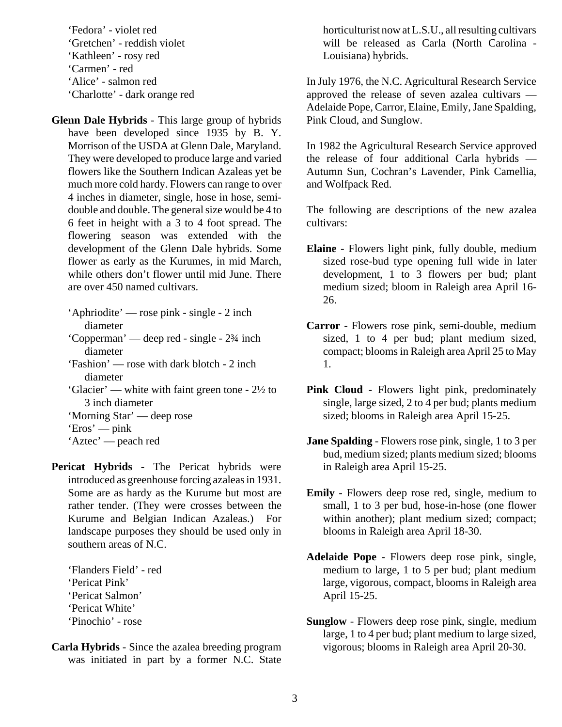'Fedora' - violet red 'Gretchen' - reddish violet 'Kathleen' - rosy red 'Carmen' - red 'Alice' - salmon red 'Charlotte' - dark orange red

**Glenn Dale Hybrids** - This large group of hybrids have been developed since 1935 by B. Y. Morrison of the USDA at Glenn Dale, Maryland. They were developed to produce large and varied flowers like the Southern Indican Azaleas yet be much more cold hardy. Flowers can range to over 4 inches in diameter, single, hose in hose, semidouble and double. The general size would be 4 to 6 feet in height with a 3 to 4 foot spread. The flowering season was extended with the development of the Glenn Dale hybrids. Some flower as early as the Kurumes, in mid March, while others don't flower until mid June. There are over 450 named cultivars.

- 'Aphriodite' rose pink single 2 inch diameter
- 'Copperman' deep red single 2¾ inch diameter
- 'Fashion' rose with dark blotch 2 inch diameter
- 'Glacier' white with faint green tone 2½ to 3 inch diameter

'Morning Star' — deep rose

**Pericat Hybrids** - The Pericat hybrids were introduced as greenhouse forcing azaleas in 1931. Some are as hardy as the Kurume but most are rather tender. (They were crosses between the Kurume and Belgian Indican Azaleas.) For landscape purposes they should be used only in southern areas of N.C.

'Flanders Field' - red 'Pericat Pink' 'Pericat Salmon' 'Pericat White' 'Pinochio' - rose

**Carla Hybrids** - Since the azalea breeding program was initiated in part by a former N.C. State horticulturist now at L.S.U., all resulting cultivars will be released as Carla (North Carolina - Louisiana) hybrids.

In July 1976, the N.C. Agricultural Research Service approved the release of seven azalea cultivars — Adelaide Pope, Carror, Elaine, Emily, Jane Spalding, Pink Cloud, and Sunglow.

In 1982 the Agricultural Research Service approved the release of four additional Carla hybrids — Autumn Sun, Cochran's Lavender, Pink Camellia, and Wolfpack Red.

The following are descriptions of the new azalea cultivars:

- **Elaine** Flowers light pink, fully double, medium sized rose-bud type opening full wide in later development, 1 to 3 flowers per bud; plant medium sized; bloom in Raleigh area April 16- 26.
- **Carror** Flowers rose pink, semi-double, medium sized, 1 to 4 per bud; plant medium sized, compact; blooms in Raleigh area April 25 to May 1.
- **Pink Cloud**  Flowers light pink, predominately single, large sized, 2 to 4 per bud; plants medium sized; blooms in Raleigh area April 15-25.
- **Jane Spalding** Flowers rose pink, single, 1 to 3 per bud, medium sized; plants medium sized; blooms in Raleigh area April 15-25.
- **Emily** Flowers deep rose red, single, medium to small, 1 to 3 per bud, hose-in-hose (one flower within another); plant medium sized; compact; blooms in Raleigh area April 18-30.
- **Adelaide Pope** Flowers deep rose pink, single, medium to large, 1 to 5 per bud; plant medium large, vigorous, compact, blooms in Raleigh area April 15-25.
- **Sunglow** Flowers deep rose pink, single, medium large, 1 to 4 per bud; plant medium to large sized, vigorous; blooms in Raleigh area April 20-30.

<sup>&#</sup>x27;Eros' — pink

<sup>&#</sup>x27;Aztec' — peach red